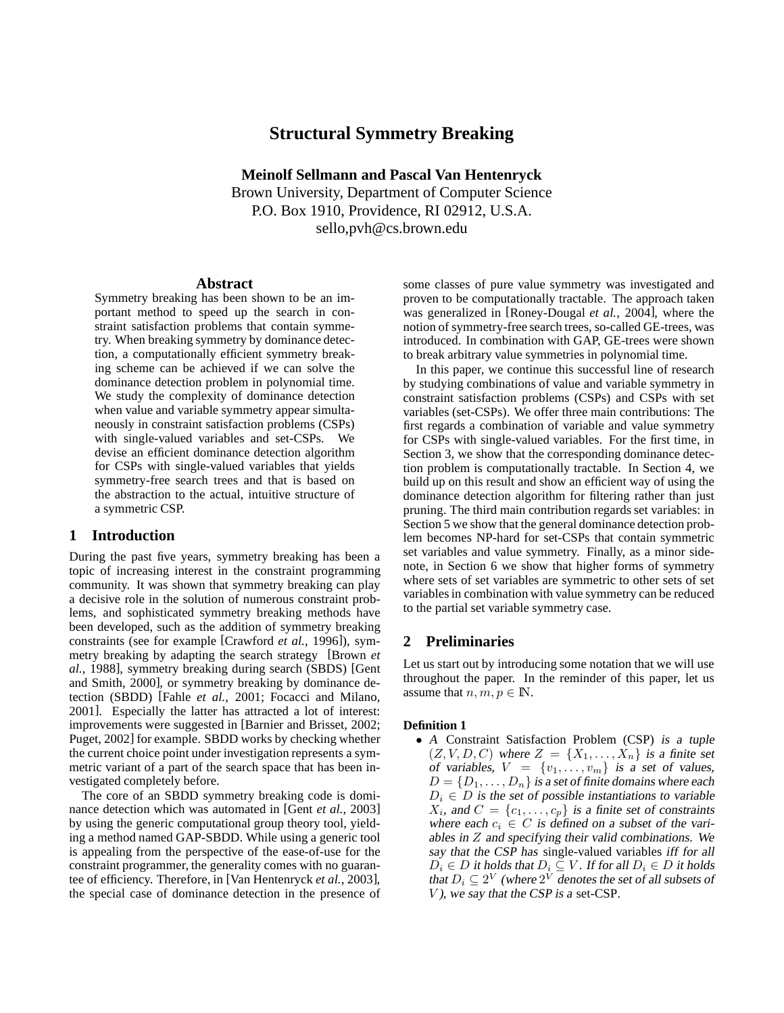# **Structural Symmetry Breaking**

**Meinolf Sellmann and Pascal Van Hentenryck** Brown University, Department of Computer Science P.O. Box 1910, Providence, RI 02912, U.S.A. sello,pvh@cs.brown.edu

## **Abstract**

Symmetry breaking has been shown to be an important method to speed up the search in constraint satisfaction problems that contain symmetry. When breaking symmetry by dominance detection, a computationally efficient symmetry breaking scheme can be achieved if we can solve the dominance detection problem in polynomial time. We study the complexity of dominance detection when value and variable symmetry appear simultaneously in constraint satisfaction problems (CSPs) with single-valued variables and set-CSPs. We devise an efficient dominance detection algorithm for CSPs with single-valued variables that yields symmetry-free search trees and that is based on the abstraction to the actual, intuitive structure of a symmetric CSP.

## **1 Introduction**

During the past five years, symmetry breaking has been a topic of increasing interest in the constraint programming community. It was shown that symmetry breaking can play a decisive role in the solution of numerous constraint problems, and sophisticated symmetry breaking methods have been developed, such as the addition of symmetry breaking constraints (see for example [Crawford *et al.*, 1996]), symmetry breaking by adapting the search strategy [Brown *et al.*, 1988], symmetry breaking during search (SBDS) [Gent and Smith, 2000], or symmetry breaking by dominance detection (SBDD) [Fahle *et al.*, 2001; Focacci and Milano, 2001]. Especially the latter has attracted a lot of interest: improvements were suggested in [Barnier and Brisset, 2002; Puget, 2002] for example. SBDD works by checking whether the current choice point under investigation represents a symmetric variant of a part of the search space that has been investigated completely before.

The core of an SBDD symmetry breaking code is dominance detection which was automated in [Gent *et al.*, 2003] by using the generic computational group theory tool, yielding a method named GAP-SBDD. While using a generic tool is appealing from the perspective of the ease-of-use for the constraint programmer, the generality comes with no guarantee of efficiency. Therefore, in [Van Hentenryck *et al.*, 2003], the special case of dominance detection in the presence of some classes of pure value symmetry was investigated and proven to be computationally tractable. The approach taken was generalized in [Roney-Dougal *et al.*, 2004], where the notion of symmetry-free search trees, so-called GE-trees, was introduced. In combination with GAP, GE-trees were shown to break arbitrary value symmetries in polynomial time.

In this paper, we continue this successful line of research by studying combinations of value and variable symmetry in constraint satisfaction problems (CSPs) and CSPs with set variables (set-CSPs). We offer three main contributions: The first regards a combination of variable and value symmetry for CSPs with single-valued variables. For the first time, in Section 3, we show that the corresponding dominance detection problem is computationally tractable. In Section 4, we build up on this result and show an efficient way of using the dominance detection algorithm for filtering rather than just pruning. The third main contribution regards set variables: in Section 5 we show that the general dominance detection problem becomes NP-hard for set-CSPs that contain symmetric set variables and value symmetry. Finally, as a minor sidenote, in Section 6 we show that higher forms of symmetry where sets of set variables are symmetric to other sets of set variables in combination with value symmetry can be reduced to the partial set variable symmetry case.

# **2 Preliminaries**

Let us start out by introducing some notation that we will use throughout the paper. In the reminder of this paper, let us assume that  $n, m, p \in \mathbb{N}$ .

## **Definition 1**

• <sup>A</sup> Constraint Satisfaction Problem (CSP) is <sup>a</sup> tuple  $(Z, V, D, C)$  where  $Z = \{X_1, \ldots, X_n\}$  is a finite set of variables,  $V = \{v_1, \ldots, v_m\}$  is a set of values,  $D = \{D_1, \ldots, D_n\}$  is a set of finite domains where each  $D_i \in D$  is the set of possible instantiations to variable  $X_i$ , and  $C = \{c_1, \ldots, c_p\}$  is a finite set of constraints where each  $c_i \in C$  is defined on a subset of the variables in  $Z$  and specifying their valid combinations. We say that the CSP has single-valued variables iff for all  $D_i \in D$  it holds that  $D_i \subseteq V$ . If for all  $D_i \in D$  it holds that  $D_i \subseteq 2^V$  (where  $2^V$  denotes the set of all subsets of  $V$ ), we say that the CSP is a set-CSP.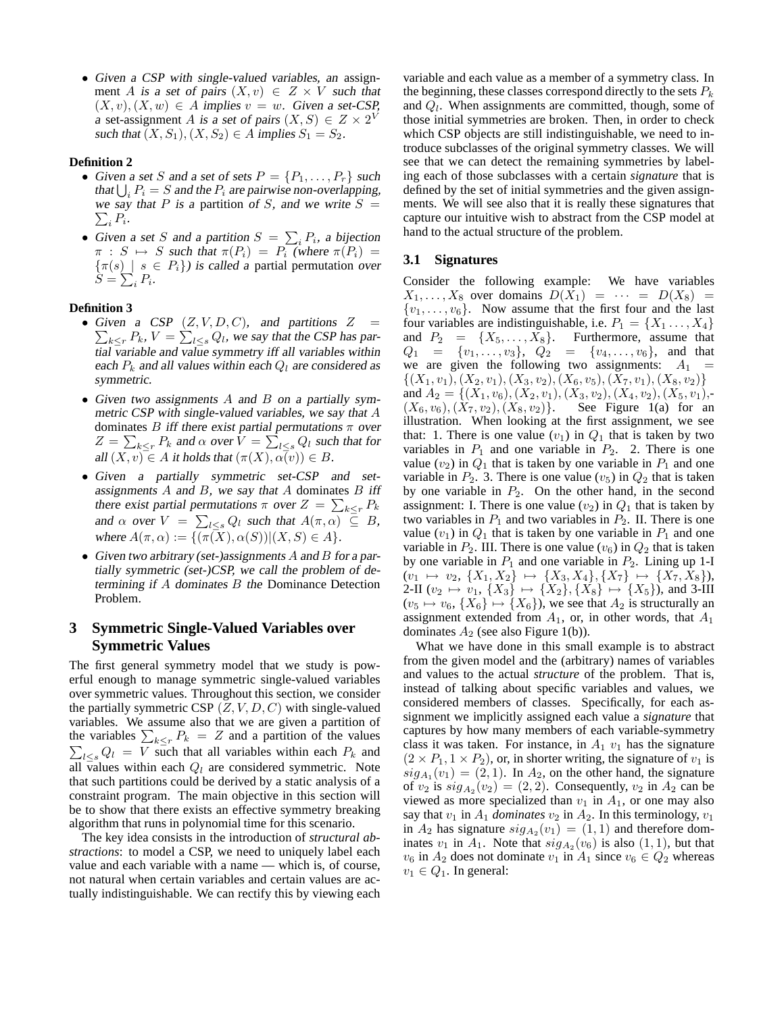• Given <sup>a</sup> CSP with single-valued variables, an assignment A is a set of pairs  $(X, v) \in Z \times V$  such that  $(X, v), (X, w) \in A$  implies  $v = w$ . Given a set-CSP, a set-assignment A is a set of pairs  $(X, S) \in Z \times 2^V$ such that  $(X, S_1), (X, S_2) \in A$  implies  $S_1 = S_2$ .

## **Definition 2**

- Given a set S and a set of sets  $P = \{P_1, \ldots, P_r\}$  such that  $\bigcup_i P_i = S$  and the  $P_i$  are pairwise non-overlapping,  $\sum_i P_i.$ we say that P is a partition of S, and we write  $S =$
- Given a set S and a partition  $S = \sum_i P_i$ , a bijection  $\pi : S \mapsto S$  such that  $\pi(P_i) = P_i$  (where  $\pi(P_i) =$  $\{\pi(s) \mid s \in P_i\}$ ) is called a partial permutation over  $S=\sum_i P_i$ .

## **Definition 3**

- Given a CSP  $(Z, V, D, C)$ , and partitions  $Z =$  $\sum_{k\leq r} P_k$ ,  $V=\sum_{l\leq s} Q_l$ , we say that the CSP has partial variable and value symmetry iff all variables within each  $P_k$  and all values within each  $Q_l$  are considered as symmetric.
- Given two assignments  $A$  and  $B$  on a partially symmetric CSP with single-valued variables, we say that A dominates B iff there exist partial permutations  $\pi$  over  $Z = \sum_{k \leq r} P_k$  and  $\alpha$  over  $V = \sum_{l \leq s} Q_l$  such that for all  $(X, v) \in A$  it holds that  $(\pi(X), \alpha(v)) \in B$ .
- Given <sup>a</sup> partially symmetric set-CSP and setassignments  $A$  and  $B$ , we say that  $A$  dominates  $B$  iff there exist partial permutations  $\pi$  over  $Z = \sum_{k \le r} P_k$ and  $\alpha$  over  $V = \sum_{l \leq s} Q_l$  such that  $A(\pi, \alpha) \subseteq B$ , where  $A(\pi, \alpha) := \{(\pi(X), \alpha(S)) | (X, S) \in A\}.$
- Given two arbitrary (set-)assignments A and B for a partially symmetric (set-)CSP, we call the problem of determining if  $A$  dominates  $B$  the Dominance Detection Problem.

# **3 Symmetric Single-Valued Variables over Symmetric Values**

The first general symmetry model that we study is powerful enough to manage symmetric single-valued variables over symmetric values. Throughout this section, we consider the partially symmetric CSP  $(Z, V, D, C)$  with single-valued variables. We assume also that we are given a partition of the variables  $\sum_{k \leq r} P_k = Z$  and a partition of the values  $\sum_{l\leq s} Q_l = V$  such that all variables within each  $P_k$  and all values within each  $Q_l$  are considered symmetric. Note that such partitions could be derived by a static analysis of a constraint program. The main objective in this section will be to show that there exists an effective symmetry breaking algorithm that runs in polynomial time for this scenario.

The key idea consists in the introduction of *structural abstractions*: to model a CSP, we need to uniquely label each value and each variable with a name — which is, of course, not natural when certain variables and certain values are actually indistinguishable. We can rectify this by viewing each variable and each value as a member of a symmetry class. In the beginning, these classes correspond directly to the sets  $P_k$ and  $Q_l$ . When assignments are committed, though, some of those initial symmetries are broken. Then, in order to check which CSP objects are still indistinguishable, we need to introduce subclasses of the original symmetry classes. We will see that we can detect the remaining symmetries by labeling each of those subclasses with a certain *signature* that is defined by the set of initial symmetries and the given assignments. We will see also that it is really these signatures that capture our intuitive wish to abstract from the CSP model at hand to the actual structure of the problem.

## **3.1 Signatures**

Consider the following example: We have variables  $X_1, \ldots, X_8$  over domains  $D(X_1) = \cdots = D(X_8) =$  $\{v_1, \ldots, v_6\}$ . Now assume that the first four and the last four variables are indistinguishable, i.e.  $P_1 = \{X_1, \ldots, X_4\}$ and  $P_2 = \{X_5, \ldots, X_8\}$ . Furthermore, assume that  $Q_1 = \{v_1, \ldots, v_3\}, \quad Q_2 = \{v_4, \ldots, v_6\}, \quad \text{and} \quad \text{that}$ we are given the following two assignments:  $A_1$  =  $\{(X_1, v_1), (X_2, v_1), (X_3, v_2), (X_6, v_5), (X_7, v_1), (X_8, v_2)\}\$ and  $A_2 = \{(X_1, v_6), (X_2, v_1), (X_3, v_2), (X_4, v_2), (X_5, v_1),$ - $(X_6, v_6), (X_7, v_2), (X_8, v_2)\}.$  See Figure 1(a) for an illustration. When looking at the first assignment, we see that: 1. There is one value  $(v_1)$  in  $Q_1$  that is taken by two variables in  $P_1$  and one variable in  $P_2$ . 2. There is one value  $(v_2)$  in  $Q_1$  that is taken by one variable in  $P_1$  and one variable in  $P_2$ . 3. There is one value  $(v_5)$  in  $Q_2$  that is taken by one variable in  $P_2$ . On the other hand, in the second assignment: I. There is one value  $(v_2)$  in  $Q_1$  that is taken by two variables in  $P_1$  and two variables in  $P_2$ . II. There is one value  $(v_1)$  in  $Q_1$  that is taken by one variable in  $P_1$  and one variable in  $P_2$ . III. There is one value  $(v_6)$  in  $Q_2$  that is taken by one variable in  $P_1$  and one variable in  $P_2$ . Lining up 1-I  $(v_1 \mapsto v_2, \{X_1, X_2\} \mapsto \{X_3, X_4\}, \{X_7\} \mapsto \{X_7, X_8\},$ 2-II ( $v_2 \mapsto v_1$ ,  $\{X_3\} \mapsto \{X_2\}$ ,  $\{X_8\} \mapsto \{X_5\}$ ), and 3-III  $(v_5 \mapsto v_6, \{X_6\} \mapsto \{X_6\})$ , we see that  $A_2$  is structurally an assignment extended from  $A_1$ , or, in other words, that  $A_1$ dominates  $A_2$  (see also Figure 1(b)).

What we have done in this small example is to abstract from the given model and the (arbitrary) names of variables and values to the actual *structure* of the problem. That is, instead of talking about specific variables and values, we considered members of classes. Specifically, for each assignment we implicitly assigned each value a *signature* that captures by how many members of each variable-symmetry class it was taken. For instance, in  $A_1$   $v_1$  has the signature  $(2 \times P_1, 1 \times P_2)$ , or, in shorter writing, the signature of  $v_1$  is  $sig_{A_1}(v_1) = (2, 1)$ . In  $A_2$ , on the other hand, the signature of  $v_2$  is  $sig_{A_2}(v_2) = (2, 2)$ . Consequently,  $v_2$  in  $A_2$  can be viewed as more specialized than  $v_1$  in  $A_1$ , or one may also say that  $v_1$  in  $A_1$  *dominates*  $v_2$  in  $A_2$ . In this terminology,  $v_1$ in  $A_2$  has signature  $sig_{A_2}(v_1) = (1, 1)$  and therefore dominates  $v_1$  in  $A_1$ . Note that  $sig_{A_2}(v_6)$  is also  $(1, 1)$ , but that  $v_6$  in  $A_2$  does not dominate  $v_1$  in  $A_1$  since  $v_6 \in Q_2$  whereas  $v_1 \in Q_1$ . In general: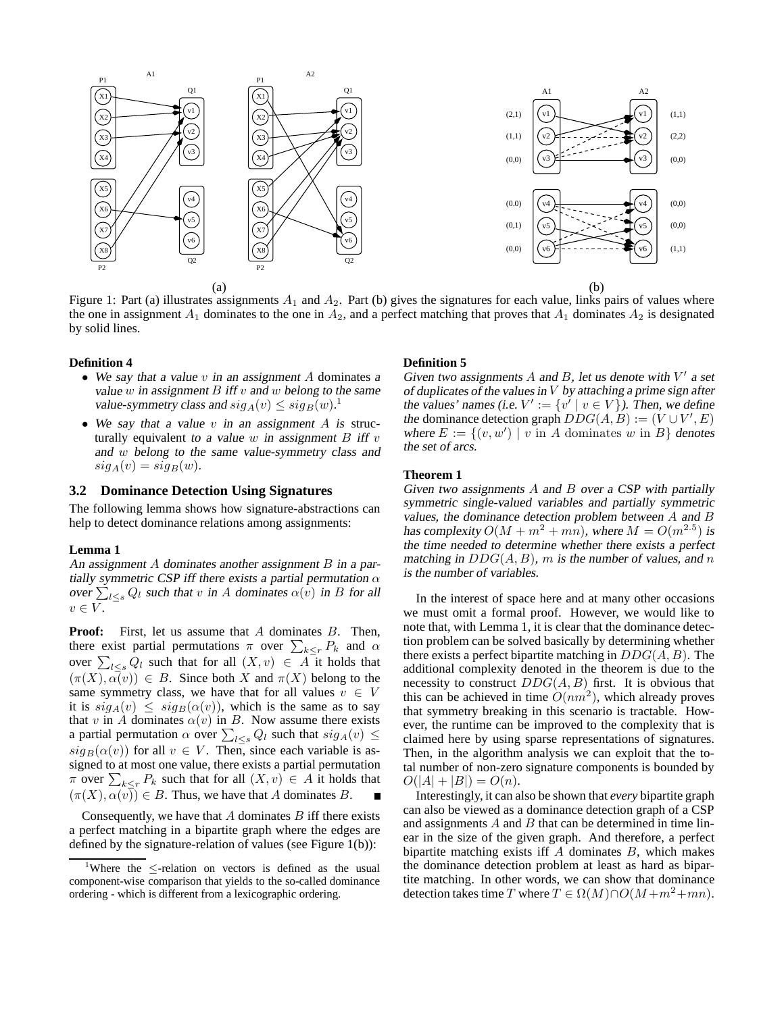

Figure 1: Part (a) illustrates assignments  $A_1$  and  $A_2$ . Part (b) gives the signatures for each value, links pairs of values where the one in assignment  $A_1$  dominates to the one in  $A_2$ , and a perfect matching that proves that  $A_1$  dominates  $A_2$  is designated by solid lines.

#### **Definition 4**

- We say that a value  $v$  in an assignment  $A$  dominates a value w in assignment  $B$  iff v and w belong to the same value-symmetry class and  $sig_A(v) \leq sig_B(w)$ .<sup>1</sup>
- We say that a value  $v$  in an assignment  $A$  is structurally equivalent to a value  $w$  in assignment  $B$  iff  $v$ and w belong to the same value-symmetry class and  $sig_A(v) = sig_B(w)$ .

### **3.2 Dominance Detection Using Signatures**

The following lemma shows how signature-abstractions can help to detect dominance relations among assignments:

#### **Lemma 1**

An assignment A dominates another assignment B in a partially symmetric CSP iff there exists a partial permutation  $\alpha$ over  $\sum_{l\leq s} Q_l$  such that v in A dominates  $\alpha(v)$  in B for all  $v \in V$ .

**Proof:** First, let us assume that A dominates B. Then, there exist partial permutations  $\pi$  over  $\sum_{k \leq r} P_k$  and  $\alpha$ over  $\sum_{l \leq s} Q_l$  such that for all  $(X, v) \in A$  it holds that  $(\pi(X), \alpha(v)) \in B$ . Since both X and  $\pi(X)$  belong to the same symmetry class, we have that for all values  $v \in V$ it is  $sig_A(v) \leq sig_B(\alpha(v))$ , which is the same as to say that v in A dominates  $\alpha(v)$  in B. Now assume there exists a partial permutation  $\alpha$  over  $\sum_{l\leq s} Q_l$  such that  $sig_A(v) \leq$  $sig_B(\alpha(v))$  for all  $v \in V$ . Then, since each variable is assigned to at most one value, there exists a partial permutation  $\pi$  over  $\sum_{k \leq r} P_k$  such that for all  $(X, v) \in A$  it holds that  $(\pi(X), \alpha(v)) \in B$ . Thus, we have that A dominates B.

Consequently, we have that  $A$  dominates  $B$  iff there exists a perfect matching in a bipartite graph where the edges are defined by the signature-relation of values (see Figure 1(b)):

#### **Definition 5**

Given two assignments  $A$  and  $B$ , let us denote with  $V'$  a set of duplicates of the values in  $V$  by attaching a prime sign after the values' names (i.e.  $V' := \{v' \mid v \in V\}$ ). Then, we define the dominance detection graph  $DDG(A, B) := (V \cup V', E)$ where  $E := \{(v, w') \mid v \text{ in } A \text{ dominates } w \text{ in } B\}$  denotes the set of arcs.

#### **Theorem 1**

Given two assignments A and B over <sup>a</sup> CSP with partially symmetric single-valued variables and partially symmetric values, the dominance detection problem between A and B has complexity  $O(M + m^2 + m\hat{n})$ , where  $M = O(m^{2.5})$  is the time needed to determine whether there exists <sup>a</sup> perfect matching in  $DDG(A, B)$ , m is the number of values, and n is the number of variables.

In the interest of space here and at many other occasions we must omit a formal proof. However, we would like to note that, with Lemma 1, it is clear that the dominance detection problem can be solved basically by determining whether there exists a perfect bipartite matching in  $DDG(A, B)$ . The additional complexity denoted in the theorem is due to the necessity to construct  $DDG(A, B)$  first. It is obvious that this can be achieved in time  $O(nm^2)$ , which already proves that symmetry breaking in this scenario is tractable. However, the runtime can be improved to the complexity that is claimed here by using sparse representations of signatures. Then, in the algorithm analysis we can exploit that the total number of non-zero signature components is bounded by  $O(|A| + |B|) = O(n).$ 

Interestingly, it can also be shown that *every* bipartite graph can also be viewed as a dominance detection graph of a CSP and assignments  $A$  and  $B$  that can be determined in time linear in the size of the given graph. And therefore, a perfect bipartite matching exists iff  $A$  dominates  $B$ , which makes the dominance detection problem at least as hard as bipartite matching. In other words, we can show that dominance detection takes time T where  $T \in \Omega(M) \cap O(M + m^2 + mn)$ .

<sup>&</sup>lt;sup>1</sup>Where the  $\leq$ -relation on vectors is defined as the usual component-wise comparison that yields to the so-called dominance ordering - which is different from a lexicographic ordering.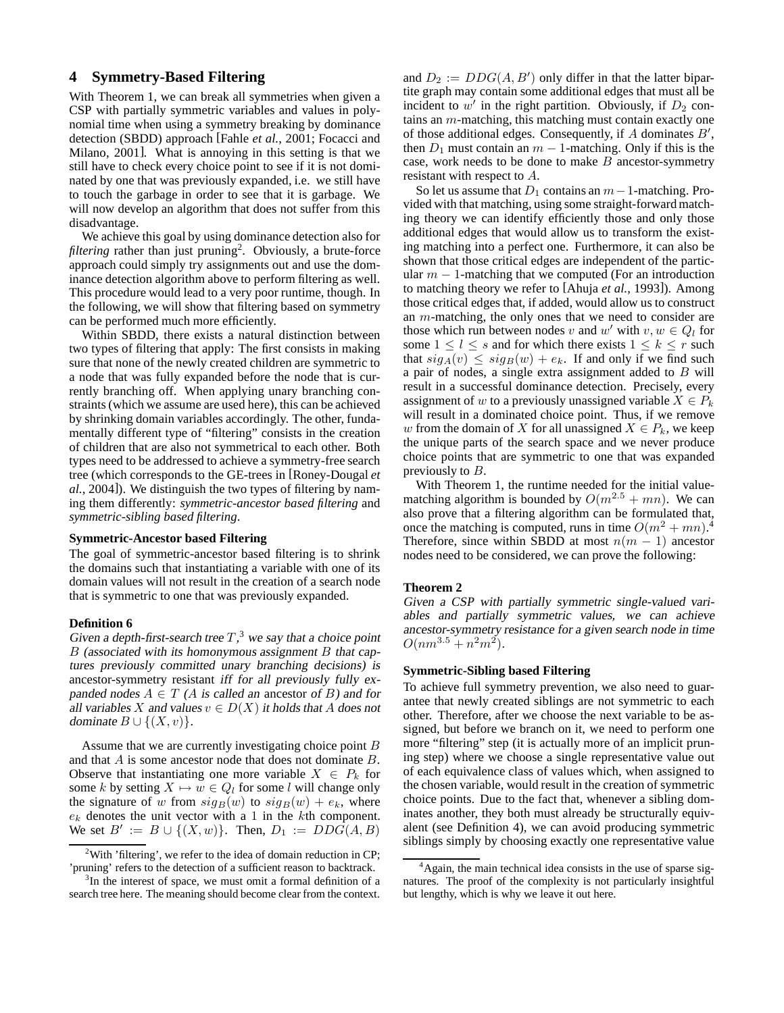# **4 Symmetry-Based Filtering**

With Theorem 1, we can break all symmetries when given a CSP with partially symmetric variables and values in polynomial time when using a symmetry breaking by dominance detection (SBDD) approach [Fahle *et al.*, 2001; Focacci and Milano, 2001]. What is annoying in this setting is that we still have to check every choice point to see if it is not dominated by one that was previously expanded, i.e. we still have to touch the garbage in order to see that it is garbage. We will now develop an algorithm that does not suffer from this disadvantage.

We achieve this goal by using dominance detection also for filtering rather than just pruning<sup>2</sup>. Obviously, a brute-force approach could simply try assignments out and use the dominance detection algorithm above to perform filtering as well. This procedure would lead to a very poor runtime, though. In the following, we will show that filtering based on symmetry can be performed much more efficiently.

Within SBDD, there exists a natural distinction between two types of filtering that apply: The first consists in making sure that none of the newly created children are symmetric to a node that was fully expanded before the node that is currently branching off. When applying unary branching constraints (which we assume are used here), this can be achieved by shrinking domain variables accordingly. The other, fundamentally different type of "filtering" consists in the creation of children that are also not symmetrical to each other. Both types need to be addressed to achieve a symmetry-free search tree (which corresponds to the GE-trees in [Roney-Dougal *et al.*, 2004]). We distinguish the two types of filtering by naming them differently: *symmetric-ancestor based filtering* and *symmetric-sibling based filtering*.

### **Symmetric-Ancestor based Filtering**

The goal of symmetric-ancestor based filtering is to shrink the domains such that instantiating a variable with one of its domain values will not result in the creation of a search node that is symmetric to one that was previously expanded.

#### **Definition 6**

Given a depth-first-search tree  $T$ ,<sup>3</sup> we say that a choice point  $B$  (associated with its homonymous assignment  $B$  that captures previously committed unary branching decisions) is ancestor-symmetry resistant iff for all previously fully expanded nodes  $A \in T$  (A is called an ancestor of B) and for all variables X and values  $v \in D(X)$  it holds that A does not dominate  $B \cup \{(X, v)\}.$ 

Assume that we are currently investigating choice point B and that A is some ancestor node that does not dominate B. Observe that instantiating one more variable  $X \in P_k$  for some k by setting  $X \mapsto w \in Q_l$  for some l will change only the signature of w from  $sig_B(w)$  to  $sig_B(w) + e_k$ , where  $e_k$  denotes the unit vector with a 1 in the kth component. We set  $B' := B \cup \{(X, w)\}.$  Then,  $D_1 := DDG(A, B)$ 

and  $D_2 := DDG(A, B')$  only differ in that the latter bipartite graph may contain some additional edges that must all be incident to  $w'$  in the right partition. Obviously, if  $D_2$  contains an m-matching, this matching must contain exactly one of those additional edges. Consequently, if  $A$  dominates  $B'$ , then  $D_1$  must contain an  $m - 1$ -matching. Only if this is the case, work needs to be done to make  $B$  ancestor-symmetry resistant with respect to A.

So let us assume that  $D_1$  contains an  $m-1$ -matching. Provided with that matching, using some straight-forward matching theory we can identify efficiently those and only those additional edges that would allow us to transform the existing matching into a perfect one. Furthermore, it can also be shown that those critical edges are independent of the particular  $m - 1$ -matching that we computed (For an introduction to matching theory we refer to [Ahuja *et al.*, 1993]). Among those critical edges that, if added, would allow us to construct an m-matching, the only ones that we need to consider are those which run between nodes v and w' with  $v, w \in Q_l$  for some  $1 \leq l \leq s$  and for which there exists  $1 \leq k \leq r$  such that  $sig_A(v) \leq sig_B(w) + e_k$ . If and only if we find such a pair of nodes, a single extra assignment added to  $B$  will result in a successful dominance detection. Precisely, every assignment of w to a previously unassigned variable  $X \in P_k$ will result in a dominated choice point. Thus, if we remove w from the domain of X for all unassigned  $X \in P_k$ , we keep the unique parts of the search space and we never produce choice points that are symmetric to one that was expanded previously to  $B$ .

With Theorem 1, the runtime needed for the initial valuematching algorithm is bounded by  $O(m^{2.5} + mn)$ . We can also prove that a filtering algorithm can be formulated that, once the matching is computed, runs in time  $O(m^2 + mn)^{4}$ . Therefore, since within SBDD at most  $n(m - 1)$  ancestor nodes need to be considered, we can prove the following:

#### **Theorem 2**

Given a CSP with partially symmetric single-valued variables and partially symmetric values, we can achieve ancestor-symmetry resistance for <sup>a</sup> given search node in time  $O(nm^{3.5}+n^2m^2).$ 

## **Symmetric-Sibling based Filtering**

To achieve full symmetry prevention, we also need to guarantee that newly created siblings are not symmetric to each other. Therefore, after we choose the next variable to be assigned, but before we branch on it, we need to perform one more "filtering" step (it is actually more of an implicit pruning step) where we choose a single representative value out of each equivalence class of values which, when assigned to the chosen variable, would result in the creation of symmetric choice points. Due to the fact that, whenever a sibling dominates another, they both must already be structurally equivalent (see Definition 4), we can avoid producing symmetric siblings simply by choosing exactly one representative value

<sup>&</sup>lt;sup>2</sup>With 'filtering', we refer to the idea of domain reduction in CP; 'pruning' refers to the detection of a sufficient reason to backtrack.

<sup>&</sup>lt;sup>3</sup>In the interest of space, we must omit a formal definition of a search tree here. The meaning should become clear from the context.

<sup>&</sup>lt;sup>4</sup>Again, the main technical idea consists in the use of sparse signatures. The proof of the complexity is not particularly insightful but lengthy, which is why we leave it out here.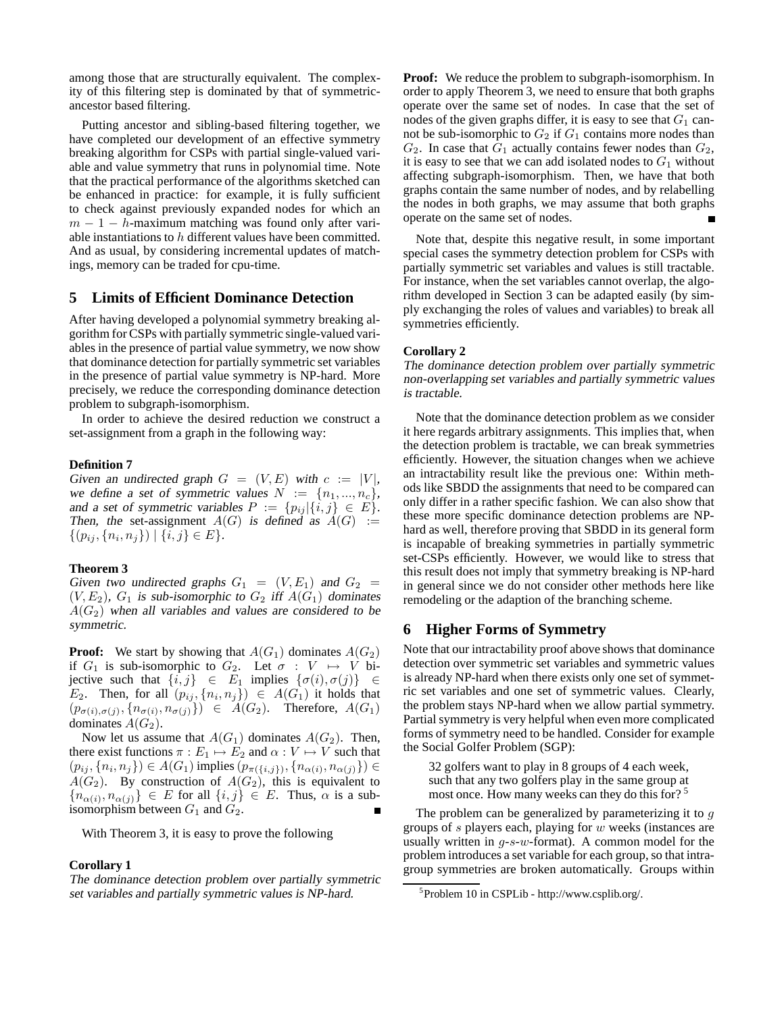among those that are structurally equivalent. The complexity of this filtering step is dominated by that of symmetricancestor based filtering.

Putting ancestor and sibling-based filtering together, we have completed our development of an effective symmetry breaking algorithm for CSPs with partial single-valued variable and value symmetry that runs in polynomial time. Note that the practical performance of the algorithms sketched can be enhanced in practice: for example, it is fully sufficient to check against previously expanded nodes for which an  $m - 1 - h$ -maximum matching was found only after variable instantiations to h different values have been committed. And as usual, by considering incremental updates of matchings, memory can be traded for cpu-time.

## **5 Limits of Efficient Dominance Detection**

After having developed a polynomial symmetry breaking algorithm for CSPs with partially symmetric single-valued variables in the presence of partial value symmetry, we now show that dominance detection for partially symmetric set variables in the presence of partial value symmetry is NP-hard. More precisely, we reduce the corresponding dominance detection problem to subgraph-isomorphism.

In order to achieve the desired reduction we construct a set-assignment from a graph in the following way:

#### **Definition 7**

Given an undirected graph  $G = (V, E)$  with  $c := |V|$ , we define a set of symmetric values  $N := \{n_1, ..., n_c\},\$ and a set of symmetric variables  $P := \{p_{ij} | \{i, j\} \in E\}.$ Then, the set-assignment  $A(G)$  is defined as  $A(G) :=$  $\{(p_{ij}, \{n_i, n_j\}) \mid \{i, j\} \in E\}.$ 

### **Theorem 3**

Given two undirected graphs  $G_1 = (V, E_1)$  and  $G_2 =$  $(V, E_2)$ ,  $G_1$  is sub-isomorphic to  $G_2$  iff  $A(G_1)$  dominates  $A(G_2)$  when all variables and values are considered to be symmetric.

**Proof:** We start by showing that  $A(G_1)$  dominates  $A(G_2)$ if  $G_1$  is sub-isomorphic to  $G_2$ . Let  $\sigma : V \mapsto V$  bijective such that  $\{\overline{i}, \overline{j}\} \in E_1$  implies  $\{\sigma(i), \sigma(j)\} \in$  $E_2$ . Then, for all  $(p_{ij}, \{n_i, n_j\}) \in A(G_1)$  it holds that  $(p_{\sigma(i),\sigma(j)}, \{n_{\sigma(i)}, n_{\sigma(j)}\}) \in A(G_2)$ . Therefore,  $A(G_1)$ dominates  $A(G_2)$ .

Now let us assume that  $A(G_1)$  dominates  $A(G_2)$ . Then, there exist functions  $\pi : E_1 \mapsto E_2$  and  $\alpha : V \mapsto V$  such that  $(p_{ij}, \{n_i, n_j\}) \in A(G_1)$  implies  $(p_{\pi({i,j})}, \{n_{\alpha(i)}, n_{\alpha(j)}\}) \in$  $A(G_2)$ . By construction of  $A(G_2)$ , this is equivalent to  ${n_{\alpha(i)}, n_{\alpha(j)}} \in E$  for all  ${i, j} \in E$ . Thus,  $\alpha$  is a subisomorphism between  $G_1$  and  $G_2$ .

With Theorem 3, it is easy to prove the following

## **Corollary 1**

The dominance detection problem over partially symmetric set variables and partially symmetric values is NP-hard.

**Proof:** We reduce the problem to subgraph-isomorphism. In order to apply Theorem 3, we need to ensure that both graphs operate over the same set of nodes. In case that the set of nodes of the given graphs differ, it is easy to see that  $G_1$  cannot be sub-isomorphic to  $G_2$  if  $G_1$  contains more nodes than  $G_2$ . In case that  $G_1$  actually contains fewer nodes than  $G_2$ , it is easy to see that we can add isolated nodes to  $G_1$  without affecting subgraph-isomorphism. Then, we have that both graphs contain the same number of nodes, and by relabelling the nodes in both graphs, we may assume that both graphs operate on the same set of nodes.

Note that, despite this negative result, in some important special cases the symmetry detection problem for CSPs with partially symmetric set variables and values is still tractable. For instance, when the set variables cannot overlap, the algorithm developed in Section 3 can be adapted easily (by simply exchanging the roles of values and variables) to break all symmetries efficiently.

#### **Corollary 2**

The dominance detection problem over partially symmetric non-overlapping set variables and partially symmetric values is tractable.

Note that the dominance detection problem as we consider it here regards arbitrary assignments. This implies that, when the detection problem is tractable, we can break symmetries efficiently. However, the situation changes when we achieve an intractability result like the previous one: Within methods like SBDD the assignments that need to be compared can only differ in a rather specific fashion. We can also show that these more specific dominance detection problems are NPhard as well, therefore proving that SBDD in its general form is incapable of breaking symmetries in partially symmetric set-CSPs efficiently. However, we would like to stress that this result does not imply that symmetry breaking is NP-hard in general since we do not consider other methods here like remodeling or the adaption of the branching scheme.

## **6 Higher Forms of Symmetry**

Note that our intractability proof above shows that dominance detection over symmetric set variables and symmetric values is already NP-hard when there exists only one set of symmetric set variables and one set of symmetric values. Clearly, the problem stays NP-hard when we allow partial symmetry. Partial symmetry is very helpful when even more complicated forms of symmetry need to be handled. Consider for example the Social Golfer Problem (SGP):

32 golfers want to play in 8 groups of 4 each week, such that any two golfers play in the same group at most once. How many weeks can they do this for?<sup>5</sup>

The problem can be generalized by parameterizing it to  $q$ groups of  $s$  players each, playing for  $w$  weeks (instances are usually written in  $g$ -s-w-format). A common model for the problem introduces a set variable for each group, so that intragroup symmetries are broken automatically. Groups within

<sup>5</sup> Problem 10 in CSPLib - http://www.csplib.org/.